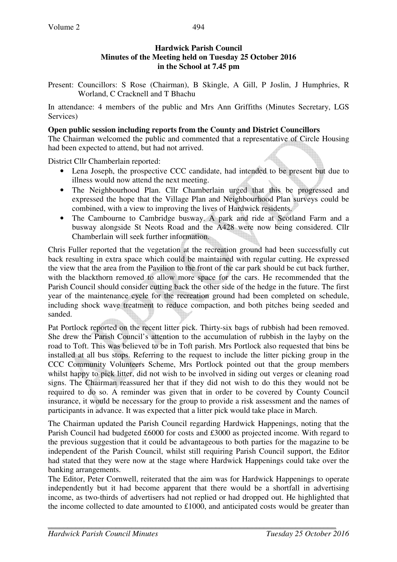### **Hardwick Parish Council Minutes of the Meeting held on Tuesday 25 October 2016 in the School at 7.45 pm**

Present: Councillors: S Rose (Chairman), B Skingle, A Gill, P Joslin, J Humphries, R Worland, C Cracknell and T Bhachu

In attendance: 4 members of the public and Mrs Ann Griffiths (Minutes Secretary, LGS Services)

### **Open public session including reports from the County and District Councillors**

The Chairman welcomed the public and commented that a representative of Circle Housing had been expected to attend, but had not arrived.

District Cllr Chamberlain reported:

- Lena Joseph, the prospective CCC candidate, had intended to be present but due to illness would now attend the next meeting.
- The Neighbourhood Plan. Cllr Chamberlain urged that this be progressed and expressed the hope that the Village Plan and Neighbourhood Plan surveys could be combined, with a view to improving the lives of Hardwick residents.
- The Cambourne to Cambridge busway. A park and ride at Scotland Farm and a busway alongside St Neots Road and the A428 were now being considered. Cllr Chamberlain will seek further information.

Chris Fuller reported that the vegetation at the recreation ground had been successfully cut back resulting in extra space which could be maintained with regular cutting. He expressed the view that the area from the Pavilion to the front of the car park should be cut back further, with the blackthorn removed to allow more space for the cars. He recommended that the Parish Council should consider cutting back the other side of the hedge in the future. The first year of the maintenance cycle for the recreation ground had been completed on schedule, including shock wave treatment to reduce compaction, and both pitches being seeded and sanded.

Pat Portlock reported on the recent litter pick. Thirty-six bags of rubbish had been removed. She drew the Parish Council's attention to the accumulation of rubbish in the layby on the road to Toft. This was believed to be in Toft parish. Mrs Portlock also requested that bins be installed at all bus stops. Referring to the request to include the litter picking group in the CCC Community Volunteers Scheme, Mrs Portlock pointed out that the group members whilst happy to pick litter, did not wish to be involved in siding out verges or cleaning road signs. The Chairman reassured her that if they did not wish to do this they would not be required to do so. A reminder was given that in order to be covered by County Council insurance, it would be necessary for the group to provide a risk assessment and the names of participants in advance. It was expected that a litter pick would take place in March.

The Chairman updated the Parish Council regarding Hardwick Happenings, noting that the Parish Council had budgeted £6000 for costs and £3000 as projected income. With regard to the previous suggestion that it could be advantageous to both parties for the magazine to be independent of the Parish Council, whilst still requiring Parish Council support, the Editor had stated that they were now at the stage where Hardwick Happenings could take over the banking arrangements.

The Editor, Peter Cornwell, reiterated that the aim was for Hardwick Happenings to operate independently but it had become apparent that there would be a shortfall in advertising income, as two-thirds of advertisers had not replied or had dropped out. He highlighted that the income collected to date amounted to £1000, and anticipated costs would be greater than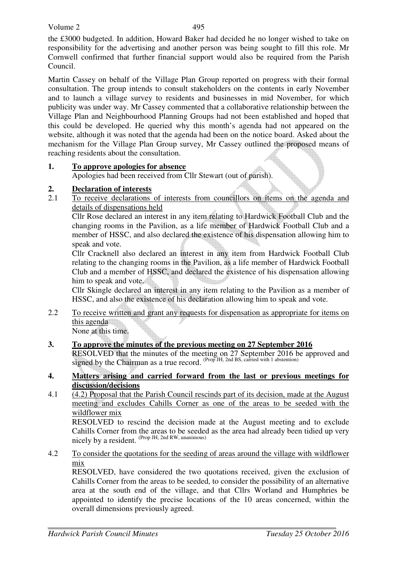the £3000 budgeted. In addition, Howard Baker had decided he no longer wished to take on responsibility for the advertising and another person was being sought to fill this role. Mr Cornwell confirmed that further financial support would also be required from the Parish Council.

Martin Cassey on behalf of the Village Plan Group reported on progress with their formal consultation. The group intends to consult stakeholders on the contents in early November and to launch a village survey to residents and businesses in mid November, for which publicity was under way. Mr Cassey commented that a collaborative relationship between the Village Plan and Neighbourhood Planning Groups had not been established and hoped that this could be developed. He queried why this month's agenda had not appeared on the website, although it was noted that the agenda had been on the notice board. Asked about the mechanism for the Village Plan Group survey, Mr Cassey outlined the proposed means of reaching residents about the consultation.

### **1. To approve apologies for absence**

Apologies had been received from Cllr Stewart (out of parish).

# **2. Declaration of interests**

2.1 To receive declarations of interests from councillors on items on the agenda and details of dispensations held

Cllr Rose declared an interest in any item relating to Hardwick Football Club and the changing rooms in the Pavilion, as a life member of Hardwick Football Club and a member of HSSC, and also declared the existence of his dispensation allowing him to speak and vote.

Cllr Cracknell also declared an interest in any item from Hardwick Football Club relating to the changing rooms in the Pavilion, as a life member of Hardwick Football Club and a member of HSSC, and declared the existence of his dispensation allowing him to speak and vote.

Cllr Skingle declared an interest in any item relating to the Pavilion as a member of HSSC, and also the existence of his declaration allowing him to speak and vote.

2.2 To receive written and grant any requests for dispensation as appropriate for items on this agenda

None at this time.

# **3. To approve the minutes of the previous meeting on 27 September 2016**

RESOLVED that the minutes of the meeting on 27 September 2016 be approved and signed by the Chairman as a true record. (Prop JH, 2nd BS, carried with 1 abstention)

#### **4. Matters arising and carried forward from the last or previous meetings for discussion/decisions**

4.1 (4.2) Proposal that the Parish Council rescinds part of its decision, made at the August meeting and excludes Cahills Corner as one of the areas to be seeded with the wildflower mix

RESOLVED to rescind the decision made at the August meeting and to exclude Cahills Corner from the areas to be seeded as the area had already been tidied up very nicely by a resident. <sup>(Prop JH, 2nd RW, unanimous)</sup>

4.2 To consider the quotations for the seeding of areas around the village with wildflower mix

RESOLVED, have considered the two quotations received, given the exclusion of Cahills Corner from the areas to be seeded, to consider the possibility of an alternative area at the south end of the village, and that Cllrs Worland and Humphries be appointed to identify the precise locations of the 10 areas concerned, within the overall dimensions previously agreed.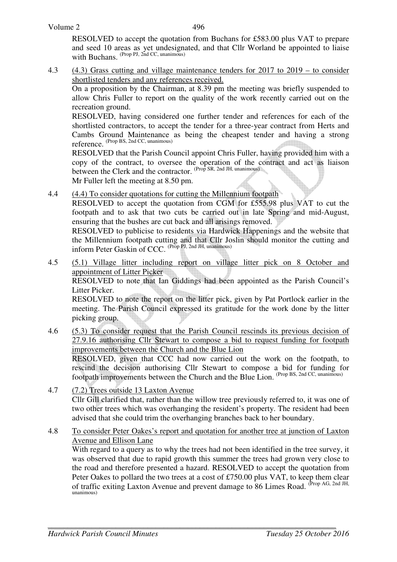496

RESOLVED to accept the quotation from Buchans for £583.00 plus VAT to prepare and seed 10 areas as yet undesignated, and that Cllr Worland be appointed to liaise with Buchans. (Prop PJ, 2nd CC, unanimous)

4.3 (4.3) Grass cutting and village maintenance tenders for 2017 to 2019 – to consider shortlisted tenders and any references received.

On a proposition by the Chairman, at 8.39 pm the meeting was briefly suspended to allow Chris Fuller to report on the quality of the work recently carried out on the recreation ground.

RESOLVED, having considered one further tender and references for each of the shortlisted contractors, to accept the tender for a three-year contract from Herts and Cambs Ground Maintenance as being the cheapest tender and having a strong reference. (Prop BS, 2nd CC, unanimous)

RESOLVED that the Parish Council appoint Chris Fuller, having provided him with a copy of the contract, to oversee the operation of the contract and act as liaison between the Clerk and the contractor. (Prop SR, 2nd JH, unanimous)

Mr Fuller left the meeting at 8.50 pm.

4.4 (4.4) To consider quotations for cutting the Millennium footpath

RESOLVED to accept the quotation from CGM for £555.98 plus VAT to cut the footpath and to ask that two cuts be carried out in late Spring and mid-August, ensuring that the bushes are cut back and all arisings removed.

RESOLVED to publicise to residents via Hardwick Happenings and the website that the Millennium footpath cutting and that Cllr Joslin should monitor the cutting and inform Peter Gaskin of CCC. (Prop PJ, 2nd JH, unanimous)

4.5 (5.1) Village litter including report on village litter pick on 8 October and appointment of Litter Picker

 RESOLVED to note that Ian Giddings had been appointed as the Parish Council's Litter Picker.

RESOLVED to note the report on the litter pick, given by Pat Portlock earlier in the meeting. The Parish Council expressed its gratitude for the work done by the litter picking group.

- 4.6 (5.3) To consider request that the Parish Council rescinds its previous decision of 27.9.16 authorising Cllr Stewart to compose a bid to request funding for footpath improvements between the Church and the Blue Lion RESOLVED, given that CCC had now carried out the work on the footpath, to rescind the decision authorising Cllr Stewart to compose a bid for funding for footpath improvements between the Church and the Blue Lion. (Prop BS, 2nd CC, unanimous)
- 4.7 (7.2) Trees outside 13 Laxton Avenue Cllr Gill clarified that, rather than the willow tree previously referred to, it was one of two other trees which was overhanging the resident's property. The resident had been advised that she could trim the overhanging branches back to her boundary.
- 4.8 To consider Peter Oakes's report and quotation for another tree at junction of Laxton Avenue and Ellison Lane

With regard to a query as to why the trees had not been identified in the tree survey, it was observed that due to rapid growth this summer the trees had grown very close to the road and therefore presented a hazard. RESOLVED to accept the quotation from Peter Oakes to pollard the two trees at a cost of £750.00 plus VAT, to keep them clear of traffic exiting Laxton Avenue and prevent damage to 86 Limes Road. (Prop AG, 2nd JH, unanimous)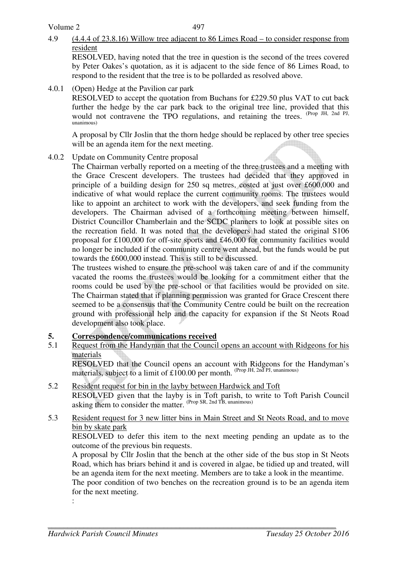### 4.9 (4.4.4 of 23.8.16) Willow tree adjacent to 86 Limes Road – to consider response from resident

 RESOLVED, having noted that the tree in question is the second of the trees covered by Peter Oakes's quotation, as it is adjacent to the side fence of 86 Limes Road, to respond to the resident that the tree is to be pollarded as resolved above.

4.0.1 (Open) Hedge at the Pavilion car park

 RESOLVED to accept the quotation from Buchans for £229.50 plus VAT to cut back further the hedge by the car park back to the original tree line, provided that this would not contravene the TPO regulations, and retaining the trees. (Prop JH, 2nd PJ, unanimous)

 A proposal by Cllr Joslin that the thorn hedge should be replaced by other tree species will be an agenda item for the next meeting.

4.0.2 Update on Community Centre proposal

 The Chairman verbally reported on a meeting of the three trustees and a meeting with the Grace Crescent developers. The trustees had decided that they approved in principle of a building design for 250 sq metres, costed at just over £600,000 and indicative of what would replace the current community rooms. The trustees would like to appoint an architect to work with the developers, and seek funding from the developers. The Chairman advised of a forthcoming meeting between himself, District Councillor Chamberlain and the SCDC planners to look at possible sites on the recreation field. It was noted that the developers had stated the original S106 proposal for £100,000 for off-site sports and £46,000 for community facilities would no longer be included if the community centre went ahead, but the funds would be put towards the £600,000 instead. This is still to be discussed.

 The trustees wished to ensure the pre-school was taken care of and if the community vacated the rooms the trustees would be looking for a commitment either that the rooms could be used by the pre-school or that facilities would be provided on site. The Chairman stated that if planning permission was granted for Grace Crescent there seemed to be a consensus that the Community Centre could be built on the recreation ground with professional help and the capacity for expansion if the St Neots Road development also took place.

### **5. Correspondence/communications received**

#### 5.1 Request from the Handyman that the Council opens an account with Ridgeons for his materials

RESOLVED that the Council opens an account with Ridgeons for the Handyman's materials, subject to a limit of £100.00 per month. (Prop JH, 2nd PJ, unanimous)

5.2 Resident request for bin in the layby between Hardwick and Toft RESOLVED given that the layby is in Toft parish, to write to Toft Parish Council asking them to consider the matter. (Prop SR, 2nd TB, unanimous)

#### 5.3 Resident request for 3 new litter bins in Main Street and St Neots Road, and to move bin by skate park

RESOLVED to defer this item to the next meeting pending an update as to the outcome of the previous bin requests.

A proposal by Cllr Joslin that the bench at the other side of the bus stop in St Neots Road, which has briars behind it and is covered in algae, be tidied up and treated, will be an agenda item for the next meeting. Members are to take a look in the meantime.

The poor condition of two benches on the recreation ground is to be an agenda item for the next meeting.

: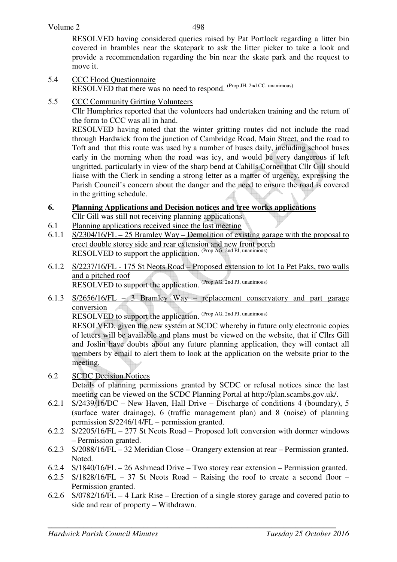RESOLVED having considered queries raised by Pat Portlock regarding a litter bin covered in brambles near the skatepark to ask the litter picker to take a look and provide a recommendation regarding the bin near the skate park and the request to move it.

- 5.4 CCC Flood Questionnaire RESOLVED that there was no need to respond. (Prop JH, 2nd CC, unanimous)
- 5.5 CCC Community Gritting Volunteers

Cllr Humphries reported that the volunteers had undertaken training and the return of the form to CCC was all in hand.

RESOLVED having noted that the winter gritting routes did not include the road through Hardwick from the junction of Cambridge Road, Main Street, and the road to Toft and that this route was used by a number of buses daily, including school buses early in the morning when the road was icy, and would be very dangerous if left ungritted, particularly in view of the sharp bend at Cahills Corner that Cllr Gill should liaise with the Clerk in sending a strong letter as a matter of urgency, expressing the Parish Council's concern about the danger and the need to ensure the road is covered in the gritting schedule.

### **6. Planning Applications and Decision notices and tree works applications**

Cllr Gill was still not receiving planning applications.

- 6.1 Planning applications received since the last meeting
- 6.1.1 S/2304/16/FL 25 Bramley Way Demolition of existing garage with the proposal to erect double storey side and rear extension and new front porch RESOLVED to support the application. (Prop AG, 2nd PJ, unanimous)
- 6.1.2 S/2237/16/FL 175 St Neots Road Proposed extension to lot 1a Pet Paks, two walls and a pitched roof RESOLVED to support the application. (Prop AG, 2nd PJ, unanimous)
- 6.1.3 S/2656/16/FL 3 Bramley Way replacement conservatory and part garage conversion

RESOLVED to support the application. (Prop AG, 2nd PJ, unanimous)

RESOLVED, given the new system at SCDC whereby in future only electronic copies of letters will be available and plans must be viewed on the website, that if Cllrs Gill and Joslin have doubts about any future planning application, they will contact all members by email to alert them to look at the application on the website prior to the meeting.

- 6.2 SCDC Decision Notices Details of planning permissions granted by SCDC or refusal notices since the last meeting can be viewed on the SCDC Planning Portal at http://plan.scambs.gov.uk/.
- 6.2.1 S/2439/16/DC New Haven, Hall Drive Discharge of conditions 4 (boundary), 5 (surface water drainage), 6 (traffic management plan) and 8 (noise) of planning permission S/2246/14/FL – permission granted.
- 6.2.2 S/2205/16/FL 277 St Neots Road Proposed loft conversion with dormer windows – Permission granted.
- 6.2.3 S/2088/16/FL 32 Meridian Close Orangery extension at rear Permission granted. Noted.
- 6.2.4 S/1840/16/FL 26 Ashmead Drive Two storey rear extension Permission granted.
- 6.2.5 S/1828/16/FL 37 St Neots Road Raising the roof to create a second floor Permission granted.
- 6.2.6 S/0782/16/FL 4 Lark Rise Erection of a single storey garage and covered patio to side and rear of property – Withdrawn.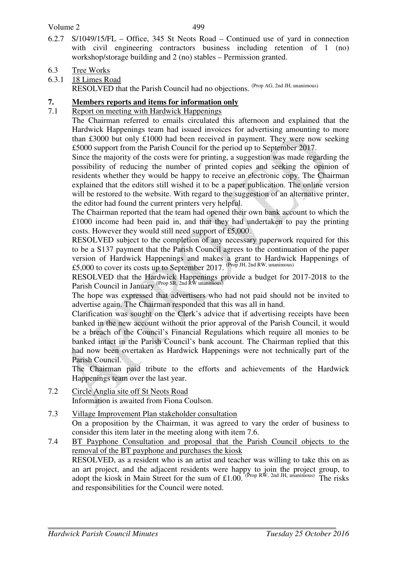- 6.2.7 S/1049/15/FL Office, 345 St Neots Road Continued use of yard in connection with civil engineering contractors business including retention of 1 (no) workshop/storage building and 2 (no) stables – Permission granted.
- 6.3 Tree Works

6.3.1 18 Limes Road RESOLVED that the Parish Council had no objections. (Prop AG, 2nd JH, unanimous)

### **7. Members reports and items for information only**

### 7.1 Report on meeting with Hardwick Happenings

The Chairman referred to emails circulated this afternoon and explained that the Hardwick Happenings team had issued invoices for advertising amounting to more than £3000 but only £1000 had been received in payment. They were now seeking £5000 support from the Parish Council for the period up to September 2017.

Since the majority of the costs were for printing, a suggestion was made regarding the possibility of reducing the number of printed copies and seeking the opinion of residents whether they would be happy to receive an electronic copy. The Chairman explained that the editors still wished it to be a paper publication. The online version will be restored to the website. With regard to the suggestion of an alternative printer, the editor had found the current printers very helpful.

The Chairman reported that the team had opened their own bank account to which the £1000 income had been paid in, and that they had undertaken to pay the printing costs. However they would still need support of £5,000.

RESOLVED subject to the completion of any necessary paperwork required for this to be a S137 payment that the Parish Council agrees to the continuation of the paper version of Hardwick Happenings and makes a grant to Hardwick Happenings of £5,000 to cover its costs up to September 2017. (Prop JH, 2nd RW, unanimous)

RESOLVED that the Hardwick Happenings provide a budget for 2017-2018 to the Parish Council in January <sup>(Prop SR, 2nd RW unanimous)</sup>

The hope was expressed that advertisers who had not paid should not be invited to advertise again. The Chairman responded that this was all in hand.

Clarification was sought on the Clerk's advice that if advertising receipts have been banked in the new account without the prior approval of the Parish Council, it would be a breach of the Council's Financial Regulations which require all monies to be banked intact in the Parish Council's bank account. The Chairman replied that this had now been overtaken as Hardwick Happenings were not technically part of the Parish Council.

The Chairman paid tribute to the efforts and achievements of the Hardwick Happenings team over the last year.

- 7.2 Circle Anglia site off St Neots Road Information is awaited from Fiona Coulson.
- 7.3 Village Improvement Plan stakeholder consultation On a proposition by the Chairman, it was agreed to vary the order of business to consider this item later in the meeting along with item 7.6.

7.4 BT Payphone Consultation and proposal that the Parish Council objects to the removal of the BT payphone and purchases the kiosk RESOLVED, as a resident who is an artist and teacher was willing to take this on as an art project, and the adjacent residents were happy to join the project group, to adopt the kiosk in Main Street for the sum of £1.00. (Prop RW, 2nd JH, unanimous) The risks and responsibilities for the Council were noted.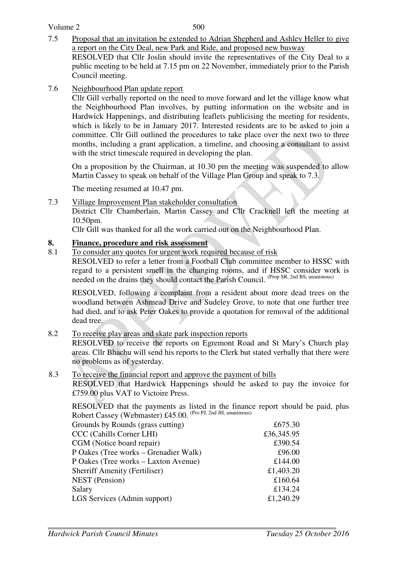7.5 Proposal that an invitation be extended to Adrian Shepherd and Ashley Heller to give a report on the City Deal, new Park and Ride, and proposed new busway RESOLVED that Cllr Joslin should invite the representatives of the City Deal to a

public meeting to be held at 7.15 pm on 22 November, immediately prior to the Parish Council meeting.

7.6 Neighbourhood Plan update report

 Cllr Gill verbally reported on the need to move forward and let the village know what the Neighbourhood Plan involves, by putting information on the website and in Hardwick Happenings, and distributing leaflets publicising the meeting for residents, which is likely to be in January 2017. Interested residents are to be asked to join a committee. Cllr Gill outlined the procedures to take place over the next two to three months, including a grant application, a timeline, and choosing a consultant to assist with the strict timescale required in developing the plan.

 On a proposition by the Chairman, at 10.30 pm the meeting was suspended to allow Martin Cassey to speak on behalf of the Village Plan Group and speak to 7.3.

The meeting resumed at 10.47 pm.

7.3 Village Improvement Plan stakeholder consultation

 District Cllr Chamberlain, Martin Cassey and Cllr Cracknell left the meeting at 10.50pm.

Cllr Gill was thanked for all the work carried out on the Neighbourhood Plan.

# **8. Finance, procedure and risk assessment**

8.1 To consider any quotes for urgent work required because of risk

 RESOLVED to refer a letter from a Football Club committee member to HSSC with regard to a persistent smell in the changing rooms, and if HSSC consider work is needed on the drains they should contact the Parish Council. (Prop SR, 2nd BS, unanimous)

RESOLVED, following a complaint from a resident about more dead trees on the woodland between Ashmead Drive and Sudeley Grove, to note that one further tree had died, and to ask Peter Oakes to provide a quotation for removal of the additional dead tree.

8.2 To receive play areas and skate park inspection reports

 RESOLVED to receive the reports on Egremont Road and St Mary's Church play areas. Cllr Bhachu will send his reports to the Clerk but stated verbally that there were no problems as of yesterday.

### 8.3 To receive the financial report and approve the payment of bills

RESOLVED that Hardwick Happenings should be asked to pay the invoice for £759.00 plus VAT to Victoire Press.

RESOLVED that the payments as listed in the finance report should be paid, plus Robert Cassey (Webmaster) £45.00. (Pro PJ, 2nd JH, unanimous)

| Grounds by Rounds (grass cutting)     | £675.30    |
|---------------------------------------|------------|
| CCC (Cahills Corner LHI)              | £36,345.95 |
| CGM (Notice board repair)             | £390.54    |
| P Oakes (Tree works – Grenadier Walk) | £96.00     |
| P Oakes (Tree works – Laxton Avenue)  | £144.00    |
| <b>Sherriff Amenity (Fertiliser)</b>  | £1,403.20  |
| NEST (Pension)                        | £160.64    |
| Salary                                | £134.24    |
| LGS Services (Admin support)          | £1,240.29  |
|                                       |            |